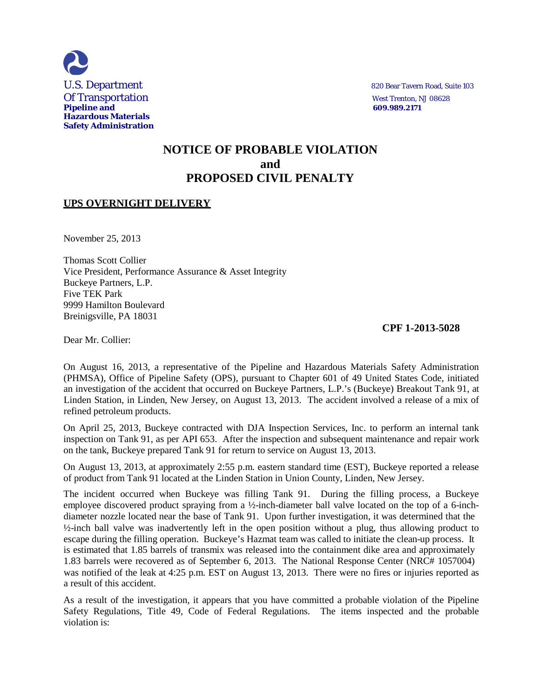

# **NOTICE OF PROBABLE VIOLATION and PROPOSED CIVIL PENALTY**

# **UPS OVERNIGHT DELIVERY**

November 25, 2013

Thomas Scott Collier Vice President, Performance Assurance & Asset Integrity Buckeye Partners, L.P. Five TEK Park 9999 Hamilton Boulevard Breinigsville, PA 18031

### **CPF 1-2013-5028**

Dear Mr. Collier:

On August 16, 2013, a representative of the Pipeline and Hazardous Materials Safety Administration (PHMSA), Office of Pipeline Safety (OPS), pursuant to Chapter 601 of 49 United States Code, initiated an investigation of the accident that occurred on Buckeye Partners, L.P.'s (Buckeye) Breakout Tank 91, at Linden Station, in Linden, New Jersey, on August 13, 2013. The accident involved a release of a mix of refined petroleum products.

On April 25, 2013, Buckeye contracted with DJA Inspection Services, Inc. to perform an internal tank inspection on Tank 91, as per API 653. After the inspection and subsequent maintenance and repair work on the tank, Buckeye prepared Tank 91 for return to service on August 13, 2013.

On August 13, 2013, at approximately 2:55 p.m. eastern standard time (EST), Buckeye reported a release of product from Tank 91 located at the Linden Station in Union County, Linden, New Jersey.

The incident occurred when Buckeye was filling Tank 91. During the filling process, a Buckeye employee discovered product spraying from a ½-inch-diameter ball valve located on the top of a 6-inchdiameter nozzle located near the base of Tank 91. Upon further investigation, it was determined that the ½-inch ball valve was inadvertently left in the open position without a plug, thus allowing product to escape during the filling operation. Buckeye's Hazmat team was called to initiate the clean-up process. It is estimated that 1.85 barrels of transmix was released into the containment dike area and approximately 1.83 barrels were recovered as of September 6, 2013. The National Response Center (NRC# 1057004) was notified of the leak at 4:25 p.m. EST on August 13, 2013. There were no fires or injuries reported as a result of this accident.

As a result of the investigation, it appears that you have committed a probable violation of the Pipeline Safety Regulations, Title 49, Code of Federal Regulations. The items inspected and the probable violation is: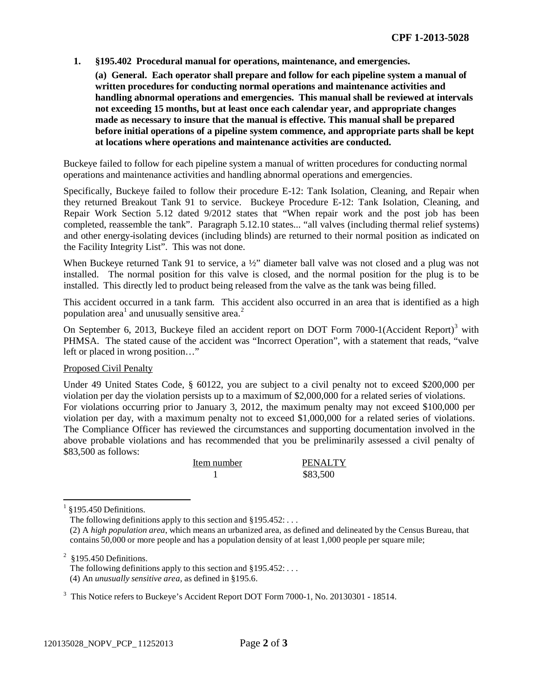**1. §195.402 Procedural manual for operations, maintenance, and emergencies.**

**(a) General. Each operator shall prepare and follow for each pipeline system a manual of written procedures for conducting normal operations and maintenance activities and handling abnormal operations and emergencies. This manual shall be reviewed at intervals not exceeding 15 months, but at least once each calendar year, and appropriate changes made as necessary to insure that the manual is effective. This manual shall be prepared before initial operations of a pipeline system commence, and appropriate parts shall be kept at locations where operations and maintenance activities are conducted.**

Buckeye failed to follow for each pipeline system a manual of written procedures for conducting normal operations and maintenance activities and handling abnormal operations and emergencies.

Specifically, Buckeye failed to follow their procedure E-12: Tank Isolation, Cleaning, and Repair when they returned Breakout Tank 91 to service. Buckeye Procedure E-12: Tank Isolation, Cleaning, and Repair Work Section 5.12 dated 9/2012 states that "When repair work and the post job has been completed, reassemble the tank". Paragraph 5.12.10 states... "all valves (including thermal relief systems) and other energy-isolating devices (including blinds) are returned to their normal position as indicated on the Facility Integrity List". This was not done.

When Buckeye returned Tank 91 to service, a  $\frac{1}{2}$  diameter ball valve was not closed and a plug was not installed. The normal position for this valve is closed, and the normal position for the plug is to be installed. This directly led to product being released from the valve as the tank was being filled.

This accident occurred in a tank farm. This accident also occurred in an area that is identified as a high population area<sup>1</sup> and unusually sensitive area.<sup>2</sup>

On September 6, 2013, Buckeye filed an accident report on DOT Form 7000-1(Accident Report)<sup>3</sup> with PHMSA. The stated cause of the accident was "Incorrect Operation", with a statement that reads, "valve left or placed in wrong position…"

### Proposed Civil Penalty

Under 49 United States Code, § 60122, you are subject to a civil penalty not to exceed \$200,000 per violation per day the violation persists up to a maximum of \$2,000,000 for a related series of violations. For violations occurring prior to January 3, 2012, the maximum penalty may not exceed \$100,000 per violation per day, with a maximum penalty not to exceed \$1,000,000 for a related series of violations. The Compliance Officer has reviewed the circumstances and supporting documentation involved in the above probable violations and has recommended that you be preliminarily assessed a civil penalty of \$83,500 as follows:

| Item number | PENALTY  |
|-------------|----------|
|             | \$83,500 |

§195.450 Definitions.

The following definitions apply to this section and  $§195.452$ : ...

 $2$  §195.450 Definitions.

The following definitions apply to this section and  $§195.452: \ldots$ (4) An *unusually sensitive area*, as defined in §195.6.

<sup>3</sup> This Notice refers to Buckeye's Accident Report DOT Form 7000-1, No. 20130301 - 18514.

<sup>(2)</sup> A *high population area*, which means an urbanized area, as defined and delineated by the Census Bureau, that contains 50,000 or more people and has a population density of at least 1,000 people per square mile;